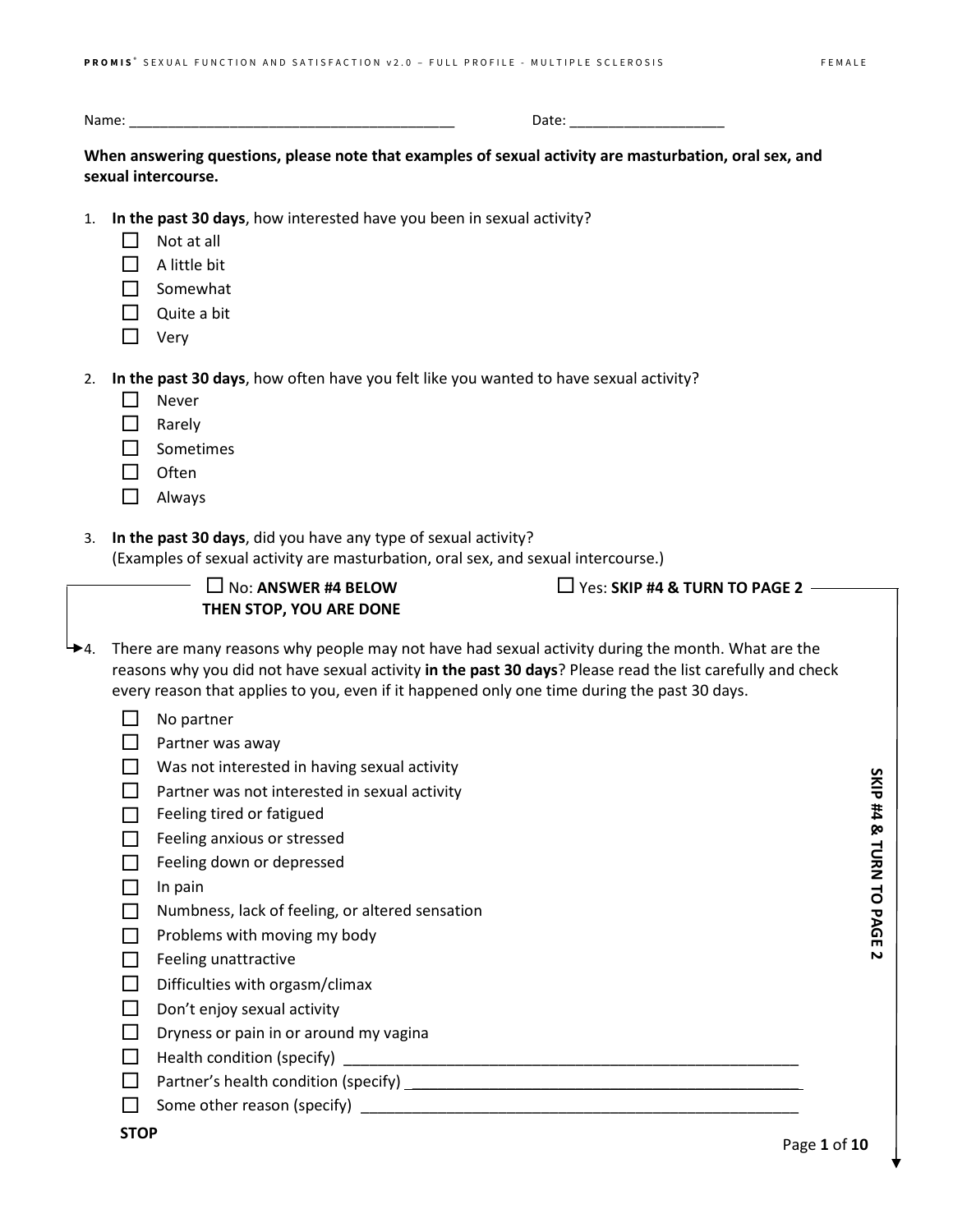| N2 |  |
|----|--|
|----|--|

**When answering questions, please note that examples of sexual activity are masturbation, oral sex, and sexual intercourse.**

- 1. **In the past 30 days**, how interested have you been in sexual activity?
	- $\Box$  Not at all
	- $\Box$  A little bit
	- $\Box$  Somewhat
	- $\Box$  Quite a bit
	- $\Box$  Very

2. **In the past 30 days**, how often have you felt like you wanted to have sexual activity?

- $\Box$  Never
- **D** Rarely
- $\Box$  Sometimes
- $\Box$  Often
- Always
- 3. **In the past 30 days**, did you have any type of sexual activity?
	- (Examples of sexual activity are masturbation, oral sex, and sexual intercourse.)
		- No: **ANSWER #4 BELOW THEN STOP, YOU ARE DONE**

Yes: **SKIP #4 & TURN TO PAGE 2**

- $\rightarrow$  4. There are many reasons why people may not have had sexual activity during the month. What are the reasons why you did not have sexual activity **in the past 30 days**? Please read the list carefully and check every reason that applies to you, even if it happened only one time during the past 30 days.
	- $\Box$  No partner
	- $\Box$  Partner was away
	- $\Box$  Was not interested in having sexual activity
	- $\Box$  Partner was not interested in sexual activity
	- $\Box$  Feeling tired or fatigued
	- $\Box$  Feeling anxious or stressed
	- $\Box$  Feeling down or depressed
	- $\Box$  In pain
	- $\Box$  Numbness, lack of feeling, or altered sensation
	- $\Box$  Problems with moving my body
	- $\Box$  Feeling unattractive
	- $\Box$  Difficulties with orgasm/climax
	- $\Box$  Don't enjoy sexual activity
	- $\Box$  Dryness or pain in or around my vagina
	- $\Box$  Health condition (specify)  $\Box$
	- $\Box$  Partner's health condition (specify)  $\_\_\_\_\_\_\_\_\_\_\_\_\_\_\_\_\_\_\_\_$
	- $\Box$  Some other reason (specify)

SKIP #4 & TURN TO PAGE 2 **SKIP #4 & TURN TO PAGE 2**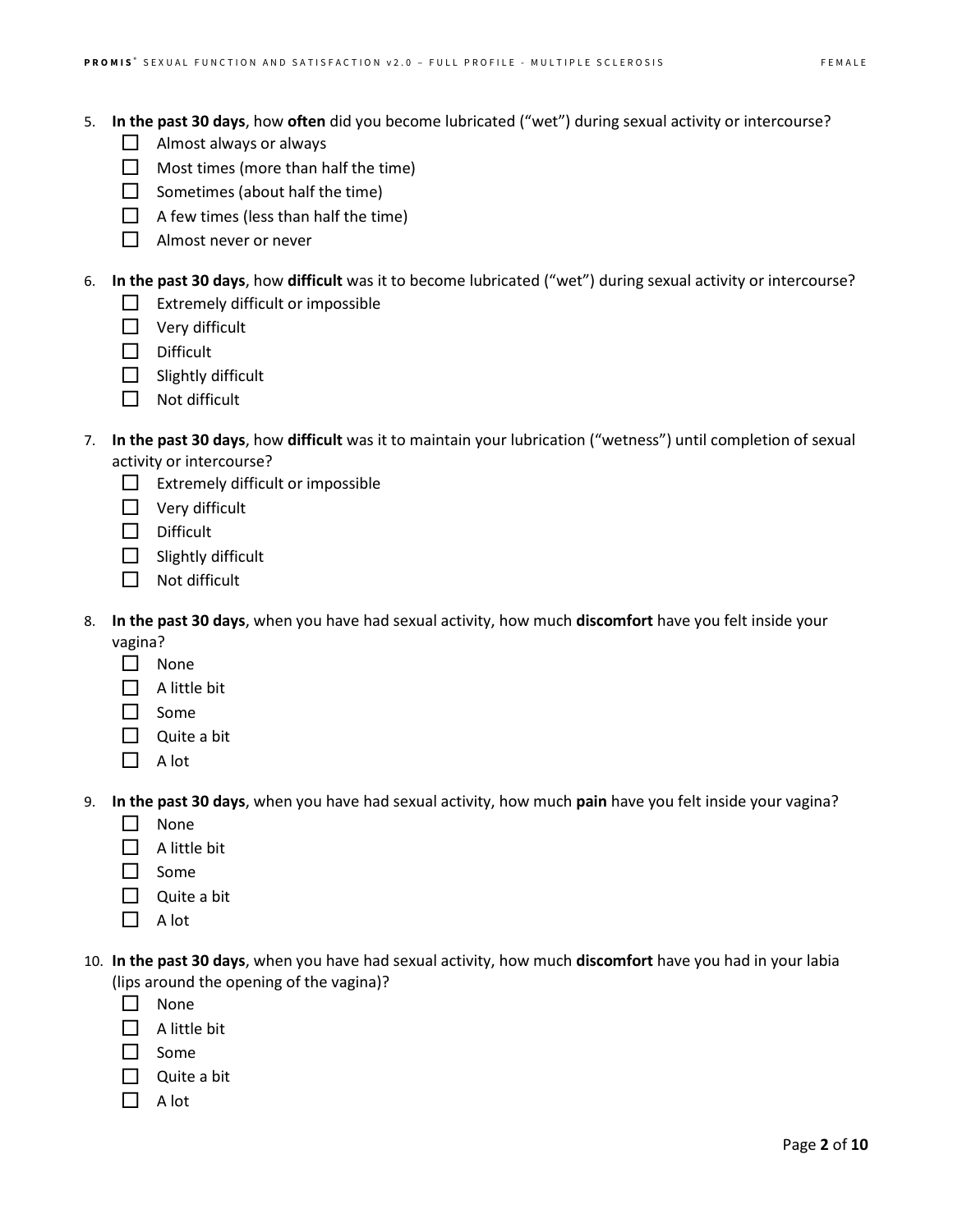- $\Box$  Almost always or always
- $\Box$  Most times (more than half the time)
- $\Box$  Sometimes (about half the time)
- $\Box$  A few times (less than half the time)
- $\Box$  Almost never or never

6. **In the past 30 days**, how **difficult** was it to become lubricated ("wet") during sexual activity or intercourse?

- $\Box$  Extremely difficult or impossible
- $\Box$  Very difficult
- $\square$  Difficult
- $\Box$  Slightly difficult
- $\Box$  Not difficult
- 7. **In the past 30 days**, how **difficult** was it to maintain your lubrication ("wetness") until completion of sexual activity or intercourse?
	- $\Box$  Extremely difficult or impossible
	- $\Box$  Very difficult
	- $\square$  Difficult
	- $\Box$  Slightly difficult
	- $\Box$  Not difficult
- 8. **In the past 30 days**, when you have had sexual activity, how much **discomfort** have you felt inside your vagina?
	- $\Box$  None
	- $\Box$  A little bit
	- $\Box$  Some
	- $\Box$  Quite a bit
	- $\Box$  A lot
- 9. **In the past 30 days**, when you have had sexual activity, how much **pain** have you felt inside your vagina?
	- $\n *None*\n$
	- $\Box$  A little bit
	- $\Box$  Some
	- $\Box$  Quite a bit
	- $\Box$  A lot
- 10. **In the past 30 days**, when you have had sexual activity, how much **discomfort** have you had in your labia (lips around the opening of the vagina)?
	- $\Box$  None
	- $\Box$  A little bit
	- $\Box$  Some
	- $\Box$  Quite a bit
	- $\Box$  A lot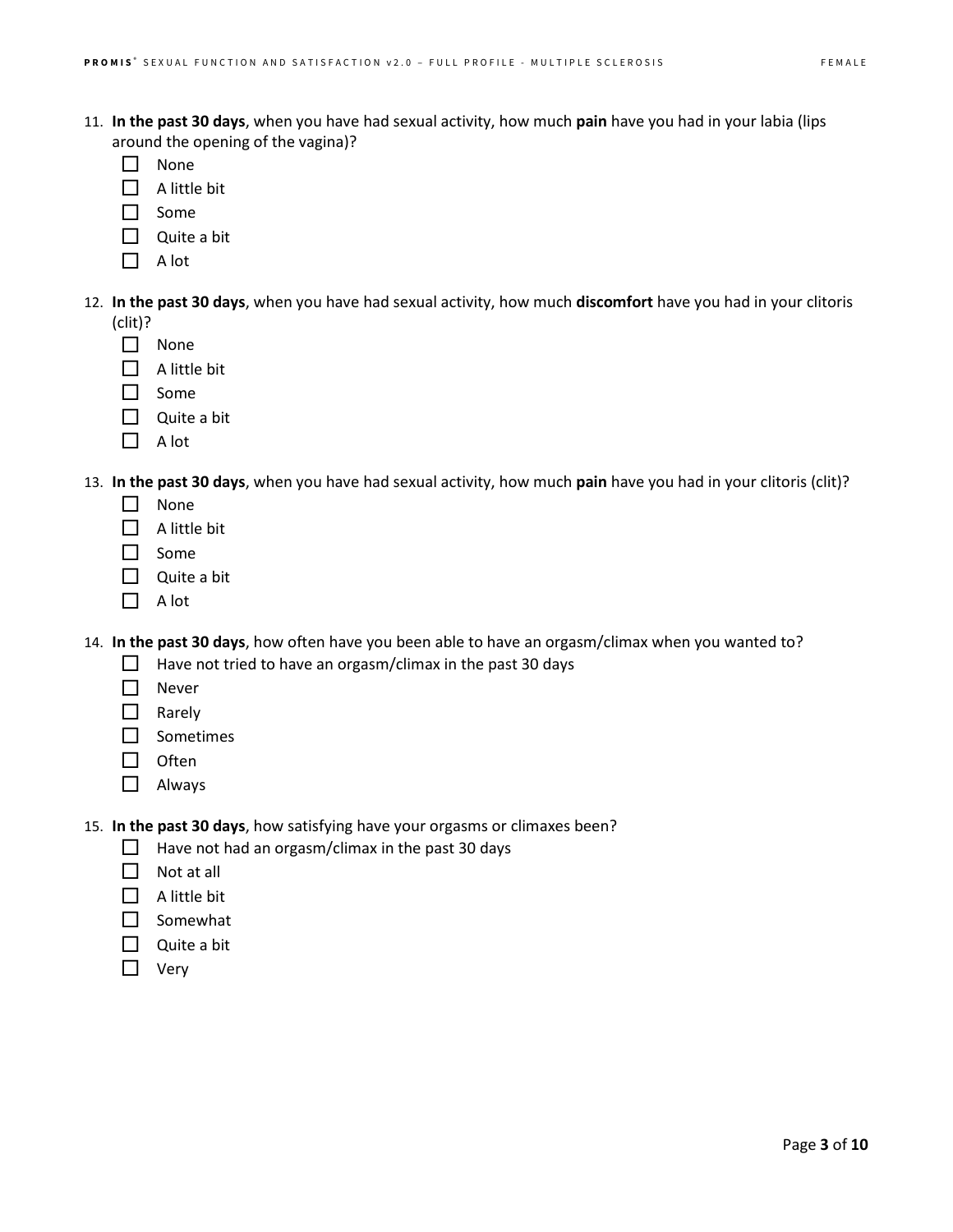- 11. **In the past 30 days**, when you have had sexual activity, how much **pain** have you had in your labia (lips around the opening of the vagina)?
	- $\Box$  None
	- $\Box$  A little bit
	- $\Box$  Some
	- Quite a bit
	- $\Box$  A lot
- 12. **In the past 30 days**, when you have had sexual activity, how much **discomfort** have you had in your clitoris (clit)?
	- $\Box$  None
	- $\Box$  A little bit
	- $\Box$  Some
	- $\Box$  Quite a bit
	- $\Box$  A lot
- 13. **In the past 30 days**, when you have had sexual activity, how much **pain** have you had in your clitoris (clit)?
	- $\Box$  None
	- $\Box$  A little bit
	- $\Box$  Some
	- $\Box$  Quite a bit
	- $\Box$  A lot

14. **In the past 30 days**, how often have you been able to have an orgasm/climax when you wanted to?

- $\Box$  Have not tried to have an orgasm/climax in the past 30 days
- $\Pi$  Never
- Rarely
- □ Sometimes
- $\Box$  Often
- Always

15. **In the past 30 days**, how satisfying have your orgasms or climaxes been?

- $\Box$  Have not had an orgasm/climax in the past 30 days
- $\Box$  Not at all
- $\Box$  A little bit
- $\Box$  Somewhat
- $\Box$  Quite a bit
- $\Box$  Very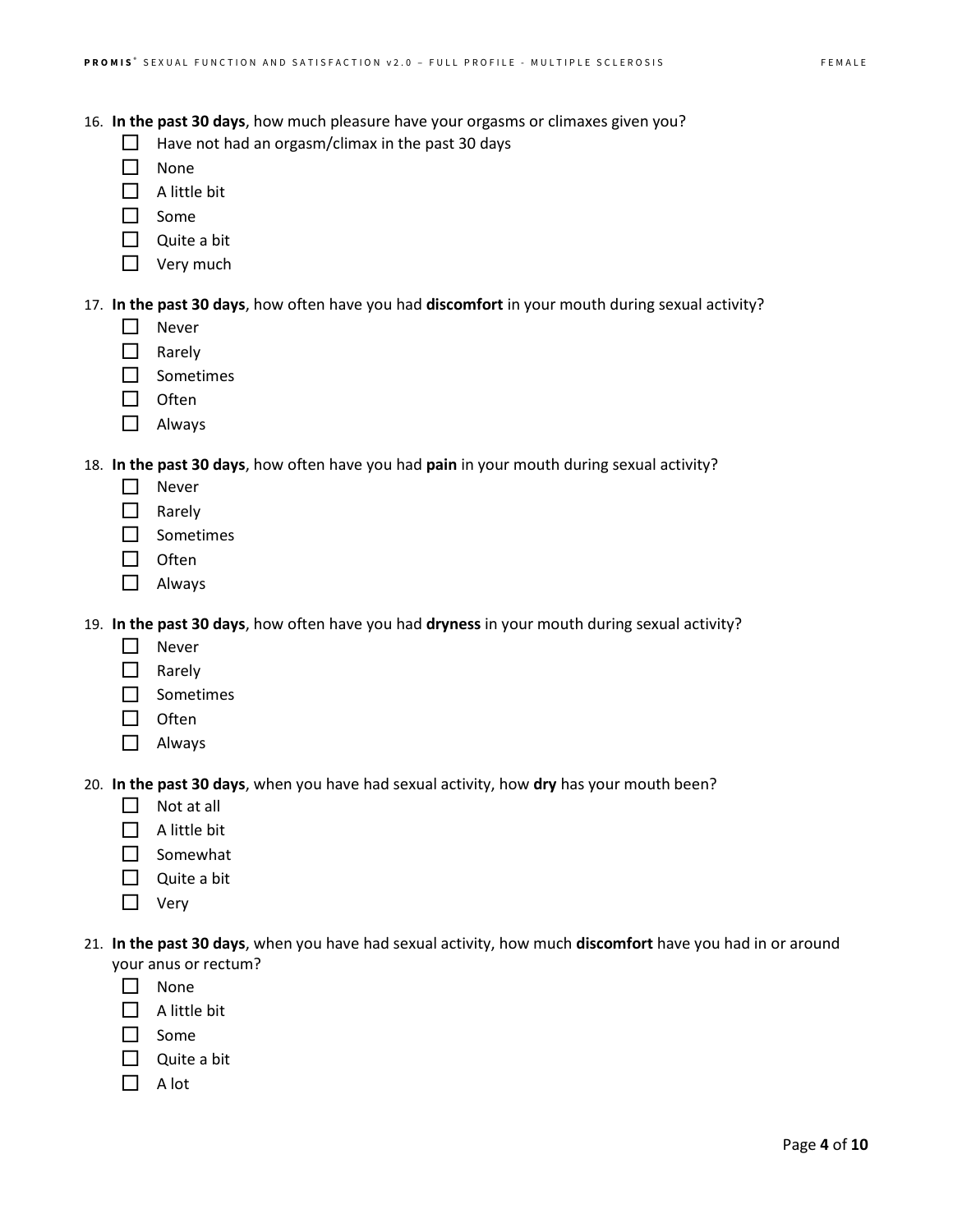- 16. **In the past 30 days**, how much pleasure have your orgasms or climaxes given you?
	- $\Box$  Have not had an orgasm/climax in the past 30 days
	- $\Box$  None
	- $\Box$  A little bit
	- $\Box$  Some
	- $\Box$  Quite a bit
	- $\Box$  Very much

17. **In the past 30 days**, how often have you had **discomfort** in your mouth during sexual activity?

- $\Box$  Never
- $\Box$  Rarely
- □ Sometimes
- $\Box$  Often
- Always

18. **In the past 30 days**, how often have you had **pain** in your mouth during sexual activity?

- □ Never
- □ Rarely
- □ Sometimes
- $\Box$  Often
- □ Always

19. **In the past 30 days**, how often have you had **dryness** in your mouth during sexual activity?

- **Never**
- $\Box$  Rarely
- $\square$  Sometimes
- $\Box$  Often
- □ Always

20. **In the past 30 days**, when you have had sexual activity, how **dry** has your mouth been?

- $\Box$  Not at all
- $\Box$  A little bit
- $\Box$  Somewhat
- $\Box$  Quite a bit
- $\Box$  Very
- 21. **In the past 30 days**, when you have had sexual activity, how much **discomfort** have you had in or around your anus or rectum?
	- $\Box$  None
	- $\Box$  A little bit
	- $\Box$  Some
	- $\Box$  Quite a bit
	- $\Box$  A lot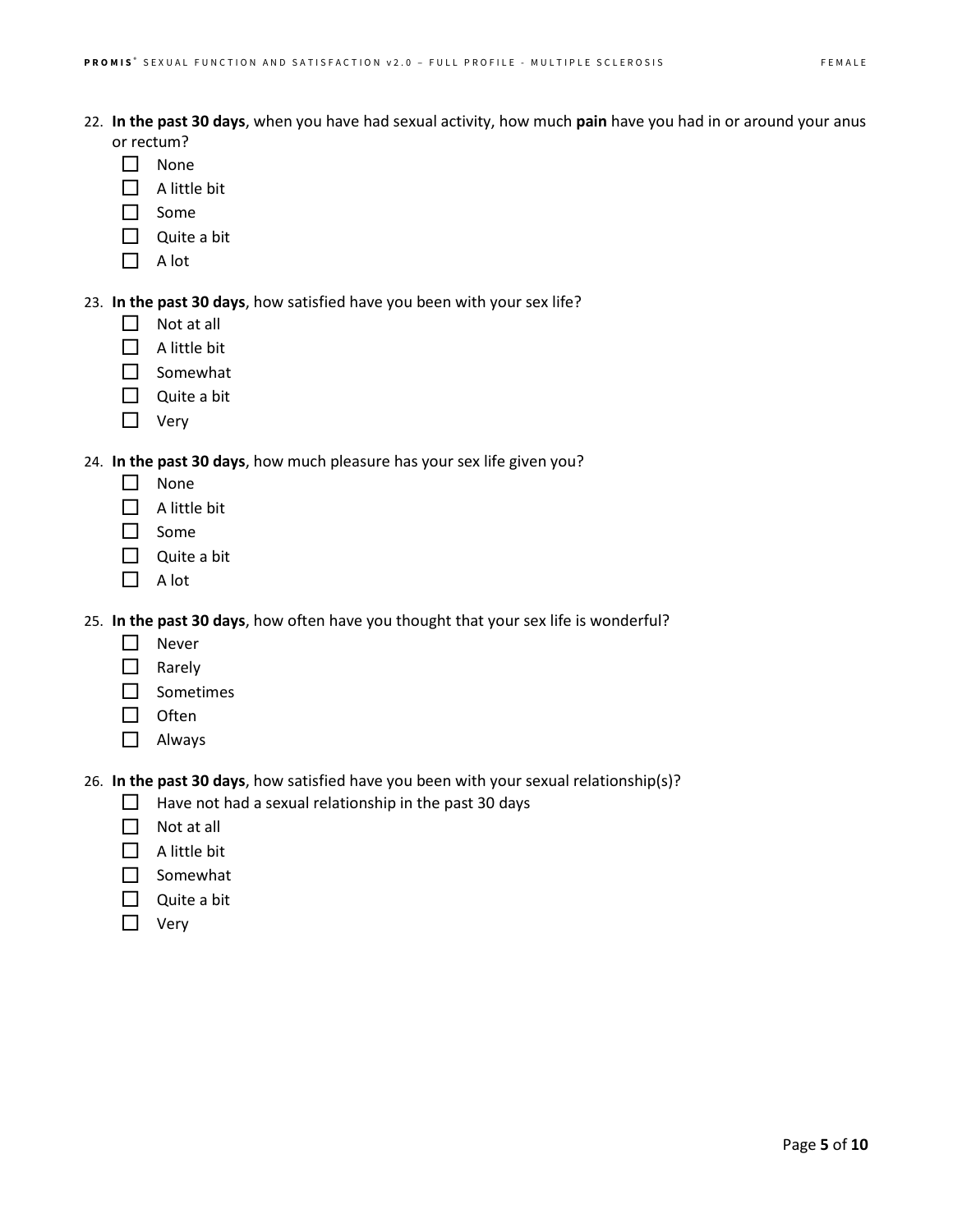- 22. **In the past 30 days**, when you have had sexual activity, how much **pain** have you had in or around your anus or rectum?
	- $\Box$  None
	- $\Box$  A little bit
	- $\Box$  Some
	- Quite a bit
	- $\Box$  A lot
- 23. **In the past 30 days**, how satisfied have you been with your sex life?
	- $\Box$  Not at all
	- $\Box$  A little bit
	- $\Box$  Somewhat
	- $\Box$  Quite a bit
	- □ Very

24. **In the past 30 days**, how much pleasure has your sex life given you?

- $\Box$  None
- $\Box$  A little bit
- □ Some
- $\Box$  Quite a bit
- $\Box$  A lot

25. **In the past 30 days**, how often have you thought that your sex life is wonderful?

- $\Box$  Never
- $\Box$  Rarely
- Sometimes
- $\Box$  Often
- □ Always

26. **In the past 30 days**, how satisfied have you been with your sexual relationship(s)?

- $\Box$  Have not had a sexual relationship in the past 30 days
- $\Box$  Not at all
- $\Box$  A little bit
- $\Box$  Somewhat
- $\Box$  Quite a bit
- □ Very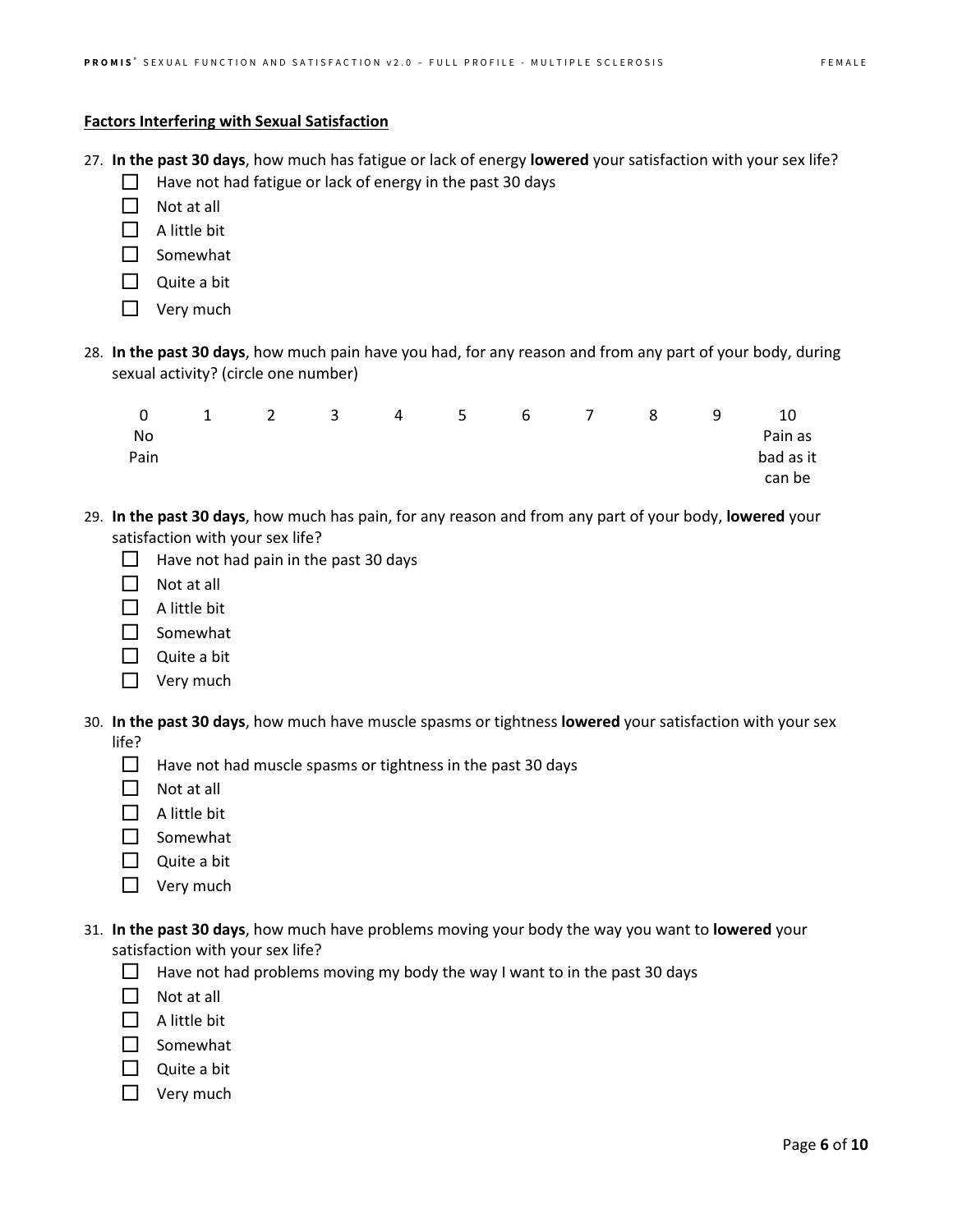## **Factors Interfering with Sexual Satisfaction**

- 27. **In the past 30 days**, how much has fatigue or lack of energy **lowered** your satisfaction with your sex life?
	- $\Box$  Have not had fatigue or lack of energy in the past 30 days
	- $\Box$  Not at all
	- $\Box$  A little bit
	- $\Box$  Somewhat
	- $\Box$  Quite a bit
	- $\Box$  Very much
- 28. **In the past 30 days**, how much pain have you had, for any reason and from any part of your body, during sexual activity? (circle one number)

| 0    | $\overline{1}$ | $\overline{2}$ |  | 3 4 5 6 7 8 |  | -9 | 10        |
|------|----------------|----------------|--|-------------|--|----|-----------|
| No.  |                |                |  |             |  |    | Pain as   |
| Pain |                |                |  |             |  |    | bad as it |
|      |                |                |  |             |  |    | can be    |

- 29. **In the past 30 days**, how much has pain, for any reason and from any part of your body, **lowered** your satisfaction with your sex life?
	- $\Box$  Have not had pain in the past 30 days
	- $\Box$  Not at all
	- $\Box$  A little bit
	- $\square$  Somewhat
	- $\Box$  Quite a bit
	- $\Box$  Very much
- 30. **In the past 30 days**, how much have muscle spasms or tightness **lowered** your satisfaction with your sex life?
	- $\Box$  Have not had muscle spasms or tightness in the past 30 days
	- $\Box$  Not at all
	- $\Box$  A little bit
	- □ Somewhat
	- $\Box$  Quite a bit
	- □ Very much
- 31. **In the past 30 days**, how much have problems moving your body the way you want to **lowered** your satisfaction with your sex life?
	- Have not had problems moving my body the way I want to in the past 30 days
	- $\Box$  Not at all
	- $\Box$  A little bit
	- Somewhat
	- $\Box$  Quite a bit
	- $\Box$  Very much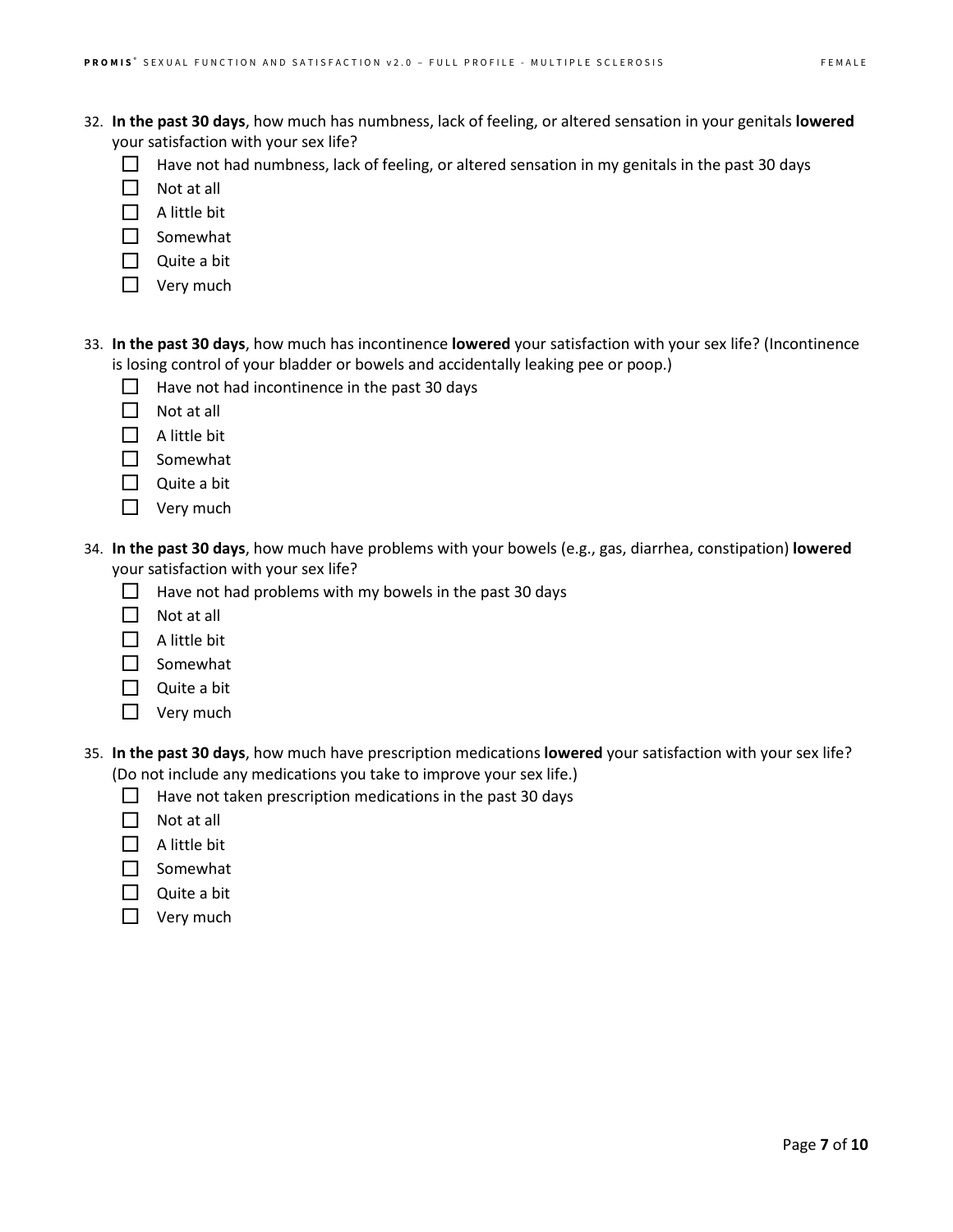- 32. **In the past 30 days**, how much has numbness, lack of feeling, or altered sensation in your genitals **lowered** your satisfaction with your sex life?
	- $\Box$  Have not had numbness, lack of feeling, or altered sensation in my genitals in the past 30 days
	- $\Box$  Not at all
	- $\Box$  A little bit
	- $\Box$  Somewhat
	- $\Box$  Quite a bit
	- $\Box$  Very much
- 33. **In the past 30 days**, how much has incontinence **lowered** your satisfaction with your sex life? (Incontinence is losing control of your bladder or bowels and accidentally leaking pee or poop.)
	- $\Box$  Have not had incontinence in the past 30 days
	- $\Box$  Not at all
	- $\Box$  A little bit
	- Somewhat
	- $\Box$  Quite a bit
	- $\Box$  Very much
- 34. **In the past 30 days**, how much have problems with your bowels (e.g., gas, diarrhea, constipation) **lowered** your satisfaction with your sex life?
	- $\Box$  Have not had problems with my bowels in the past 30 days
	- $\Box$  Not at all
	- $\Box$  A little bit
	- $\Box$  Somewhat
	- Quite a bit
	- $\Box$  Very much
- 35. **In the past 30 days**, how much have prescription medications **lowered** your satisfaction with your sex life? (Do not include any medications you take to improve your sex life.)
	- $\Box$  Have not taken prescription medications in the past 30 days
	- $\Box$  Not at all
	- $\Box$  A little bit
	- □ Somewhat
	- $\Box$  Quite a bit
	- $\Box$  Very much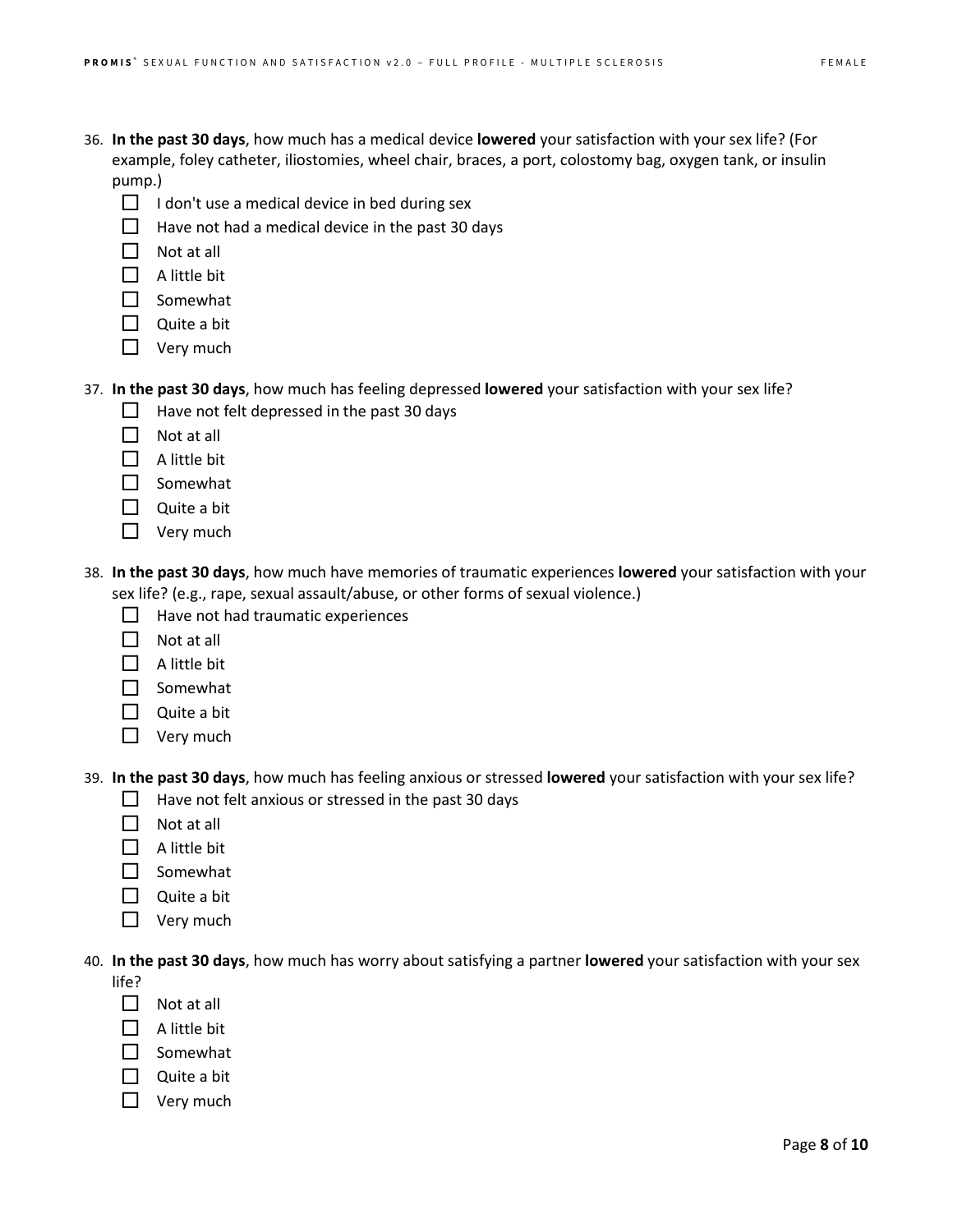- 36. **In the past 30 days**, how much has a medical device **lowered** your satisfaction with your sex life? (For example, foley catheter, iliostomies, wheel chair, braces, a port, colostomy bag, oxygen tank, or insulin pump.)
	- $\Box$  I don't use a medical device in bed during sex
	- $\Box$  Have not had a medical device in the past 30 days
	- $\Box$  Not at all
	- $\Box$  A little bit
	- $\Box$  Somewhat
	- Quite a bit
	- $\Box$  Very much

## 37. **In the past 30 days**, how much has feeling depressed **lowered** your satisfaction with your sex life?

- $\Box$  Have not felt depressed in the past 30 days
- $\Box$  Not at all
- $\Box$  A little bit
- $\square$  Somewhat
- $\Box$  Quite a bit
- □ Very much
- 38. **In the past 30 days**, how much have memories of traumatic experiences **lowered** your satisfaction with your sex life? (e.g., rape, sexual assault/abuse, or other forms of sexual violence.)
	- $\Box$  Have not had traumatic experiences
	- $\Box$  Not at all
	- $\Box$  A little bit
	- $\Box$  Somewhat
	- $\Box$  Quite a bit
	- $\Box$  Very much

39. **In the past 30 days**, how much has feeling anxious or stressed **lowered** your satisfaction with your sex life?

- $\Box$  Have not felt anxious or stressed in the past 30 days
- $\Pi$  Not at all
- $\Box$  A little bit
- $\Box$  Somewhat
- $\Box$  Quite a bit
- $\Box$  Very much

40. **In the past 30 days**, how much has worry about satisfying a partner **lowered** your satisfaction with your sex

life?

- $\Box$  Not at all
- $\Box$  A little bit
- $\Box$  Somewhat
- $\Box$  Quite a bit
- $\Box$  Very much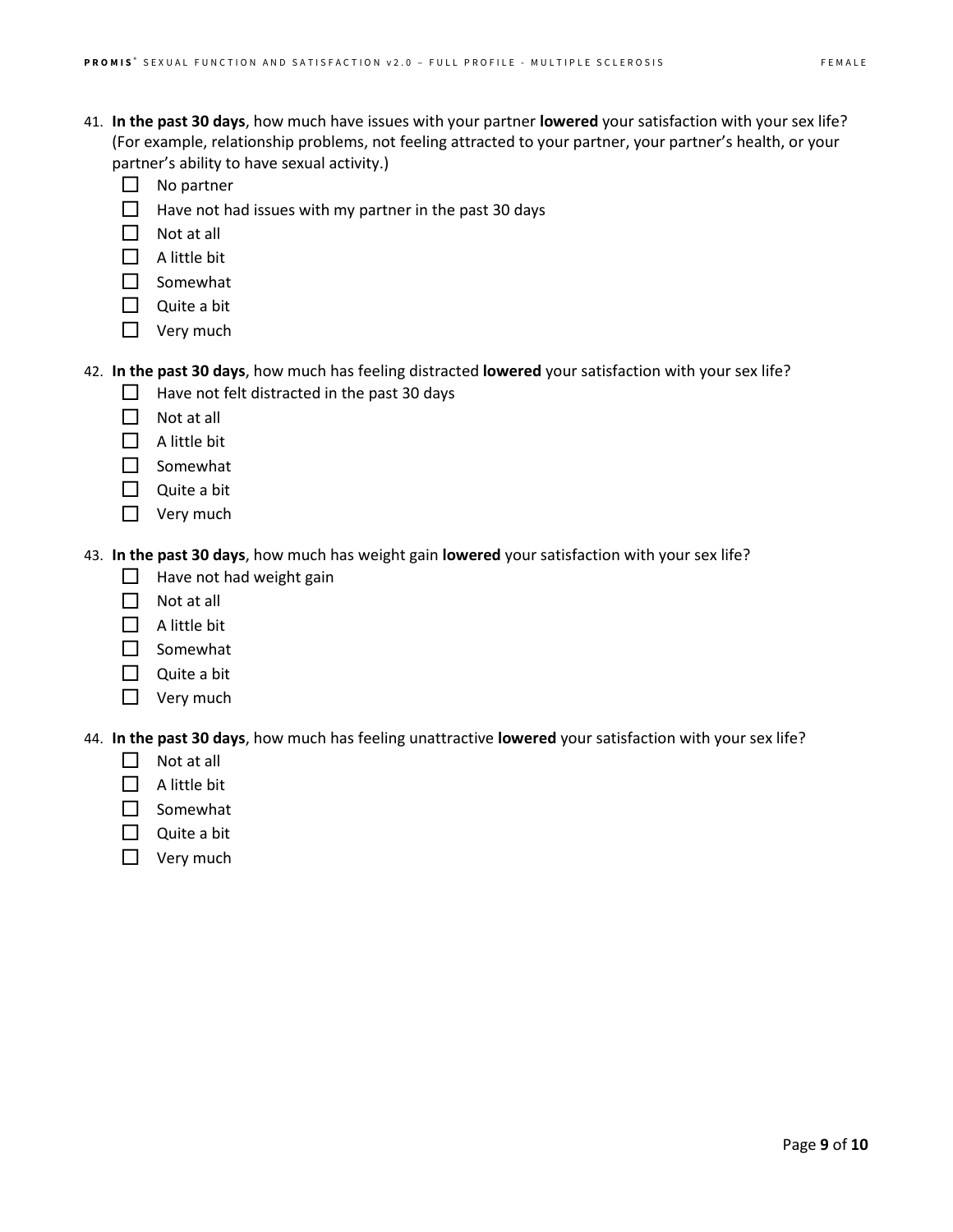- 41. **In the past 30 days**, how much have issues with your partner **lowered** your satisfaction with your sex life? (For example, relationship problems, not feeling attracted to your partner, your partner's health, or your partner's ability to have sexual activity.)
	- $\Box$  No partner
	- $\Box$  Have not had issues with my partner in the past 30 days
	- $\Box$  Not at all
	- $\Box$  A little bit
	- □ Somewhat
	- $\Box$  Quite a bit
	- $\Box$  Very much

## 42. **In the past 30 days**, how much has feeling distracted **lowered** your satisfaction with your sex life?

- $\Box$  Have not felt distracted in the past 30 days
- $\Box$  Not at all
- $\Box$  A little bit
- $\Box$  Somewhat
- $\Box$  Quite a bit
- $\Box$  Very much

43. **In the past 30 days**, how much has weight gain **lowered** your satisfaction with your sex life?

- $\Box$  Have not had weight gain
- $\Box$  Not at all
- $\Box$  A little bit
- □ Somewhat
- $\Box$  Quite a bit
- $\Box$  Very much

44. **In the past 30 days**, how much has feeling unattractive **lowered** your satisfaction with your sex life?

- $\Box$  Not at all
- $\Box$  A little bit
- $\Box$  Somewhat
- $\Box$  Quite a bit
- $\Box$  Very much